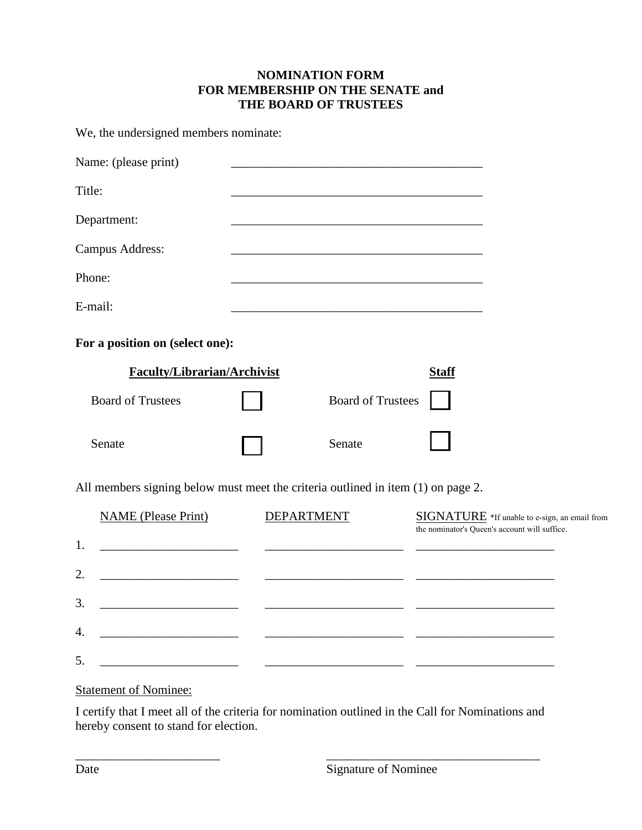## **NOMINATION FORM FOR MEMBERSHIP ON THE SENATE and THE BOARD OF TRUSTEES**

We, the undersigned members nominate:

| Name: (please print)                                                             |                   |                                                            |                                                                                                |  |  |
|----------------------------------------------------------------------------------|-------------------|------------------------------------------------------------|------------------------------------------------------------------------------------------------|--|--|
| Title:                                                                           |                   |                                                            |                                                                                                |  |  |
| Department:                                                                      |                   | <u> 1989 - Johann Stoff, amerikansk politiker (* 1908)</u> |                                                                                                |  |  |
| <b>Campus Address:</b>                                                           |                   |                                                            |                                                                                                |  |  |
| Phone:                                                                           |                   |                                                            |                                                                                                |  |  |
| E-mail:                                                                          |                   |                                                            |                                                                                                |  |  |
| For a position on (select one):                                                  |                   |                                                            |                                                                                                |  |  |
| <b>Faculty/Librarian/Archivist</b>                                               |                   |                                                            | <b>Staff</b>                                                                                   |  |  |
| <b>Board of Trustees</b>                                                         |                   | <b>Board of Trustees</b>                                   |                                                                                                |  |  |
| Senate                                                                           |                   | Senate                                                     |                                                                                                |  |  |
| All members signing below must meet the criteria outlined in item (1) on page 2. |                   |                                                            |                                                                                                |  |  |
| <b>NAME</b> (Please Print)                                                       | <b>DEPARTMENT</b> |                                                            | SIGNATURE *If unable to e-sign, an email from<br>the nominator's Queen's account will suffice. |  |  |
| 1.                                                                               |                   |                                                            |                                                                                                |  |  |
| 2.                                                                               |                   |                                                            |                                                                                                |  |  |
| 3.                                                                               |                   |                                                            |                                                                                                |  |  |

| ___ |  |
|-----|--|

 $4.$ 

## Statement of Nominee:

\_\_\_\_\_\_\_\_\_\_\_\_\_\_\_\_\_\_\_\_\_\_\_

I certify that I meet all of the criteria for nomination outlined in the Call for Nominations and hereby consent to stand for election.